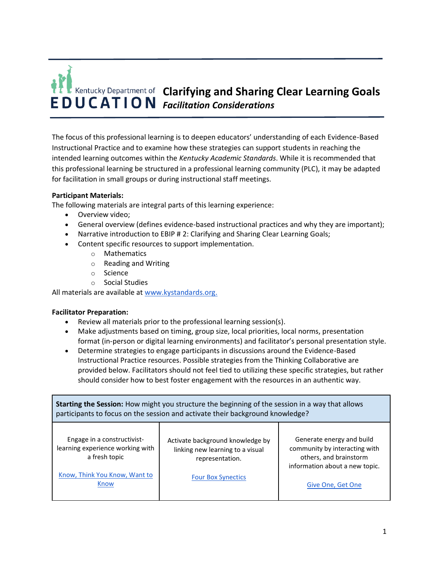# **Clarifying and Sharing Clear Learning Goals**  *Facilitation Considerations*

The focus of this professional learning is to deepen educators' understanding of each Evidence-Based Instructional Practice and to examine how these strategies can support students in reaching the intended learning outcomes within the *Kentucky Academic Standards*. While it is recommended that this professional learning be structured in a professional learning community (PLC), it may be adapted for facilitation in small groups or during instructional staff meetings.

## **Participant Materials:**

The following materials are integral parts of this learning experience:

- Overview video;
- General overview (defines evidence-based instructional practices and why they are important);
- Narrative introduction to EBIP # 2: Clarifying and Sharing Clear Learning Goals;
- Content specific resources to support implementation.
	- o Mathematics
	- o Reading and Writing
	- o Science
	- o Social Studies

All materials are available at [www.kystandards.org.](http://www.kystandards.org/)

#### **Facilitator Preparation:**

- Review all materials prior to the professional learning session(s).
- Make adjustments based on timing, group size, local priorities, local norms, presentation format (in-person or digital learning environments) and facilitator's personal presentation style.
- Determine strategies to engage participants in discussions around the Evidence-Based Instructional Practice resources. Possible strategies from the Thinking Collaborative are provided below. Facilitators should not feel tied to utilizing these specific strategies, but rather should consider how to best foster engagement with the resources in an authentic way.

| Starting the Session: How might you structure the beginning of the session in a way that allows<br>participants to focus on the session and activate their background knowledge? |                                                                                                                      |                                                                                                                                             |  |
|----------------------------------------------------------------------------------------------------------------------------------------------------------------------------------|----------------------------------------------------------------------------------------------------------------------|---------------------------------------------------------------------------------------------------------------------------------------------|--|
| Engage in a constructivist-<br>learning experience working with<br>a fresh topic<br>Know, Think You Know, Want to<br>Know                                                        | Activate background knowledge by<br>linking new learning to a visual<br>representation.<br><b>Four Box Synectics</b> | Generate energy and build<br>community by interacting with<br>others, and brainstorm<br>information about a new topic.<br>Give One, Get One |  |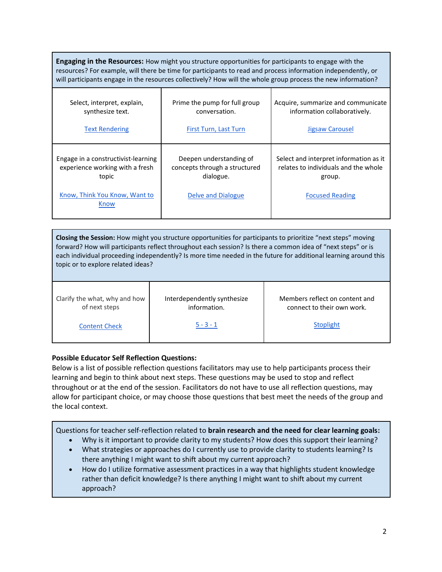| <b>Engaging in the Resources:</b> How might you structure opportunities for participants to engage with the<br>resources? For example, will there be time for participants to read and process information independently, or<br>will participants engage in the resources collectively? How will the whole group process the new information? |                                                                                             |                                                                                                                    |  |
|-----------------------------------------------------------------------------------------------------------------------------------------------------------------------------------------------------------------------------------------------------------------------------------------------------------------------------------------------|---------------------------------------------------------------------------------------------|--------------------------------------------------------------------------------------------------------------------|--|
| Select, interpret, explain,<br>synthesize text.<br><b>Text Rendering</b>                                                                                                                                                                                                                                                                      | Prime the pump for full group<br>conversation.<br>First Turn, Last Turn                     | Acquire, summarize and communicate<br>information collaboratively.<br>Jigsaw Carousel                              |  |
| Engage in a constructivist-learning<br>experience working with a fresh<br>topic<br>Know, Think You Know, Want to<br>Know                                                                                                                                                                                                                      | Deepen understanding of<br>concepts through a structured<br>dialogue.<br>Delve and Dialogue | Select and interpret information as it<br>relates to individuals and the whole<br>group.<br><b>Focused Reading</b> |  |

**Closing the Session:** How might you structure opportunities for participants to prioritize "next steps" moving forward? How will participants reflect throughout each session? Is there a common idea of "next steps" or is each individual proceeding independently? Is more time needed in the future for additional learning around this topic or to explore related ideas?

Clarify the what, why and how of next steps

Interdependently synthesize information.

Members reflect on content and connect to their own work.

Content Check

 $5 - 3 - 1$ 

**Stoplight** 

# **Possible Educator Self Reflection Questions:**

Below is a list of possible reflection questions facilitators may use to help participants process their learning and begin to think about next steps. These questions may be used to stop and reflect throughout or at the end of the session. Facilitators do not have to use all reflection questions, may allow for participant choice, or may choose those questions that best meet the needs of the group and the local context.

Questions for teacher self-reflection related to **brain research and the need for clear learning goals:**

- Why is it important to provide clarity to my students? How does this support their learning?
- What strategies or approaches do I currently use to provide clarity to students learning? Is there anything I might want to shift about my current approach?
- How do I utilize formative assessment practices in a way that highlights student knowledge rather than deficit knowledge? Is there anything I might want to shift about my current approach?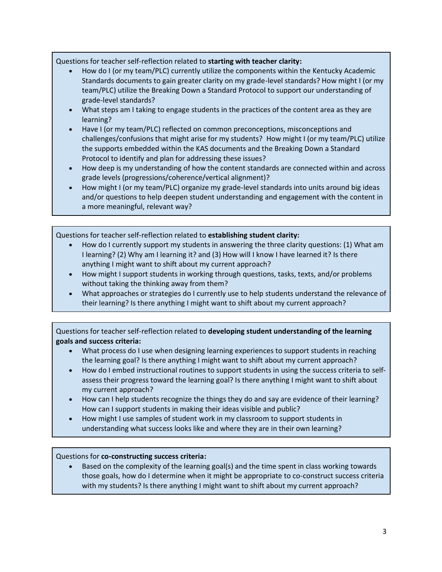Questions for teacher self-reflection related to **starting with teacher clarity:**

- How do I (or my team/PLC) currently utilize the components within the Kentucky Academic Standards documents to gain greater clarity on my grade-level standards? How might I (or my team/PLC) utilize the Breaking Down a Standard Protocol to support our understanding of grade-level standards?
- What steps am I taking to engage students in the practices of the content area as they are learning?
- Have I (or my team/PLC) reflected on common preconceptions, misconceptions and challenges/confusions that might arise for my students?  How might I (or my team/PLC) utilize the supports embedded within the KAS documents and the Breaking Down a Standard Protocol to identify and plan for addressing these issues?
- How deep is my understanding of how the content standards are connected within and across grade levels (progressions/coherence/vertical alignment)?
- How might I (or my team/PLC) organize my grade-level standards into units around big ideas and/or questions to help deepen student understanding and engagement with the content in a more meaningful, relevant way?

Questions for teacher self-reflection related to **establishing student clarity:**

- How do I currently support my students in answering the three clarity questions: (1) What am I learning? (2) Why am I learning it? and (3) How will I know I have learned it? Is there anything I might want to shift about my current approach?
- How might I support students in working through questions, tasks, texts, and/or problems without taking the thinking away from them?
- What approaches or strategies do I currently use to help students understand the relevance of their learning? Is there anything I might want to shift about my current approach?

Questions for teacher self-reflection related to **developing student understanding of the learning goals and success criteria:**

- What process do I use when designing learning experiences to support students in reaching the learning goal? Is there anything I might want to shift about my current approach?
- How do I embed instructional routines to support students in using the success criteria to selfassess their progress toward the learning goal? Is there anything I might want to shift about my current approach?
- How can I help students recognize the things they do and say are evidence of their learning? How can I support students in making their ideas visible and public?
- How might I use samples of student work in my classroom to support students in understanding what success looks like and where they are in their own learning?

## Questions for **co-constructing success criteria:**

• Based on the complexity of the learning goal(s) and the time spent in class working towards those goals, how do I determine when it might be appropriate to co-construct success criteria with my students? Is there anything I might want to shift about my current approach?